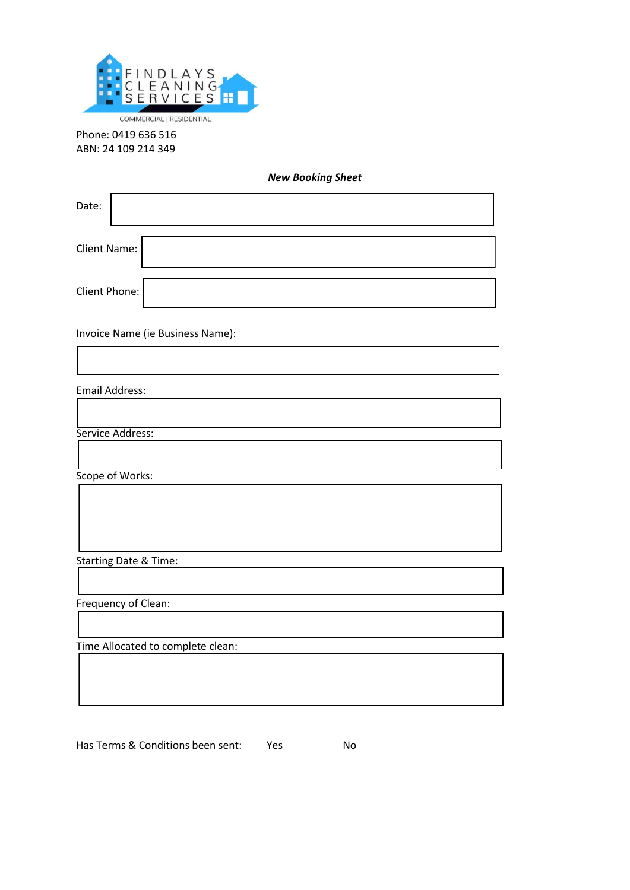

Phone: 0419 636 516 ABN: 24 109 214 349

*New Booking Sheet*

| Date:               |  |
|---------------------|--|
| <b>Client Name:</b> |  |
| Client Phone:       |  |

Invoice Name (ie Business Name):

| <b>Email Address:</b>             |  |
|-----------------------------------|--|
|                                   |  |
| Service Address:                  |  |
|                                   |  |
| Scope of Works:                   |  |
|                                   |  |
| <b>Starting Date &amp; Time:</b>  |  |
|                                   |  |
| Frequency of Clean:               |  |
|                                   |  |
| Time Allocated to complete clean: |  |
|                                   |  |
|                                   |  |

Has Terms & Conditions been sent: Yes No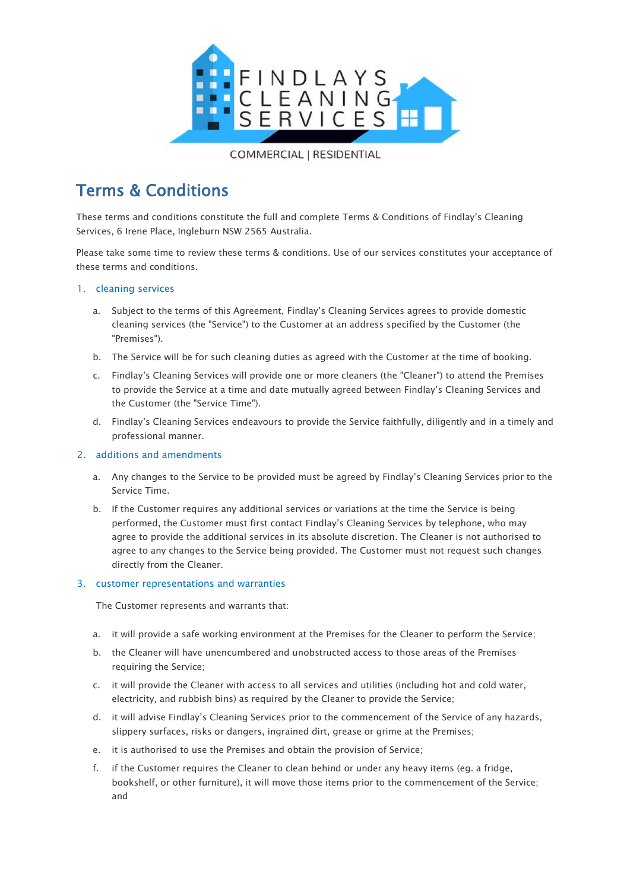

# Terms & Conditions

These terms and conditions constitute the full and complete Terms & Conditions of Findlay's Cleaning Services, 6 Irene Place, Ingleburn NSW 2565 Australia.

Please take some time to review these terms & conditions. Use of our services constitutes your acceptance of these terms and conditions.

## 1. cleaning services

- a. Subject to the terms of this Agreement, Findlay's Cleaning Services agrees to provide domestic cleaning services (the "Service") to the Customer at an address specified by the Customer (the "Premises").
- b. The Service will be for such cleaning duties as agreed with the Customer at the time of booking.
- c. Findlay's Cleaning Services will provide one or more cleaners (the "Cleaner") to attend the Premises to provide the Service at a time and date mutually agreed between Findlay's Cleaning Services and the Customer (the "Service Time").
- d. Findlay's Cleaning Services endeavours to provide the Service faithfully, diligently and in a timely and professional manner.

## 2. additions and amendments

- a. Any changes to the Service to be provided must be agreed by Findlay's Cleaning Services prior to the Service Time.
- b. If the Customer requires any additional services or variations at the time the Service is being performed, the Customer must first contact Findlay's Cleaning Services by telephone, who may agree to provide the additional services in its absolute discretion. The Cleaner is not authorised to agree to any changes to the Service being provided. The Customer must not request such changes directly from the Cleaner.

## 3. customer representations and warranties

The Customer represents and warrants that:

- a. it will provide a safe working environment at the Premises for the Cleaner to perform the Service;
- b. the Cleaner will have unencumbered and unobstructed access to those areas of the Premises requiring the Service;
- c. it will provide the Cleaner with access to all services and utilities (including hot and cold water, electricity, and rubbish bins) as required by the Cleaner to provide the Service;
- d. it will advise Findlay's Cleaning Services prior to the commencement of the Service of any hazards, slippery surfaces, risks or dangers, ingrained dirt, grease or grime at the Premises;
- e. it is authorised to use the Premises and obtain the provision of Service;
- f. if the Customer requires the Cleaner to clean behind or under any heavy items (eg. a fridge, bookshelf, or other furniture), it will move those items prior to the commencement of the Service; and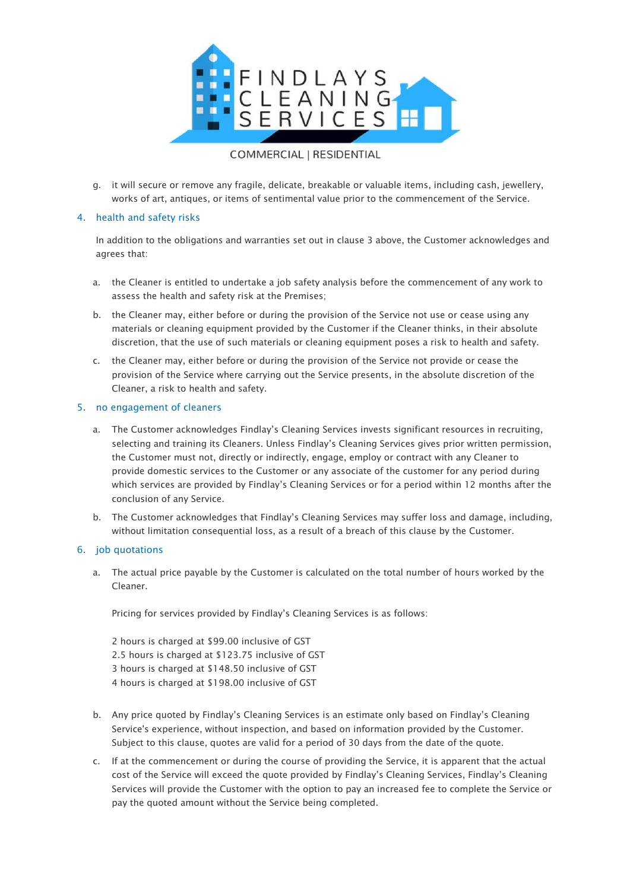

g. it will secure or remove any fragile, delicate, breakable or valuable items, including cash, jewellery, works of art, antiques, or items of sentimental value prior to the commencement of the Service.

## 4. health and safety risks

In addition to the obligations and warranties set out in clause 3 above, the Customer acknowledges and agrees that:

- a. the Cleaner is entitled to undertake a job safety analysis before the commencement of any work to assess the health and safety risk at the Premises;
- b. the Cleaner may, either before or during the provision of the Service not use or cease using any materials or cleaning equipment provided by the Customer if the Cleaner thinks, in their absolute discretion, that the use of such materials or cleaning equipment poses a risk to health and safety.
- c. the Cleaner may, either before or during the provision of the Service not provide or cease the provision of the Service where carrying out the Service presents, in the absolute discretion of the Cleaner, a risk to health and safety.

## 5. no engagement of cleaners

- a. The Customer acknowledges Findlay's Cleaning Services invests significant resources in recruiting, selecting and training its Cleaners. Unless Findlay's Cleaning Services gives prior written permission, the Customer must not, directly or indirectly, engage, employ or contract with any Cleaner to provide domestic services to the Customer or any associate of the customer for any period during which services are provided by Findlay's Cleaning Services or for a period within 12 months after the conclusion of any Service.
- b. The Customer acknowledges that Findlay's Cleaning Services may suffer loss and damage, including, without limitation consequential loss, as a result of a breach of this clause by the Customer.

## 6. job quotations

a. The actual price payable by the Customer is calculated on the total number of hours worked by the Cleaner.

Pricing for services provided by Findlay's Cleaning Services is as follows:

2 hours is charged at \$99.00 inclusive of GST 2.5 hours is charged at \$123.75 inclusive of GST 3 hours is charged at \$148.50 inclusive of GST 4 hours is charged at \$198.00 inclusive of GST

- b. Any price quoted by Findlay's Cleaning Services is an estimate only based on Findlay's Cleaning Service's experience, without inspection, and based on information provided by the Customer. Subject to this clause, quotes are valid for a period of 30 days from the date of the quote.
- c. If at the commencement or during the course of providing the Service, it is apparent that the actual cost of the Service will exceed the quote provided by Findlay's Cleaning Services, Findlay's Cleaning Services will provide the Customer with the option to pay an increased fee to complete the Service or pay the quoted amount without the Service being completed.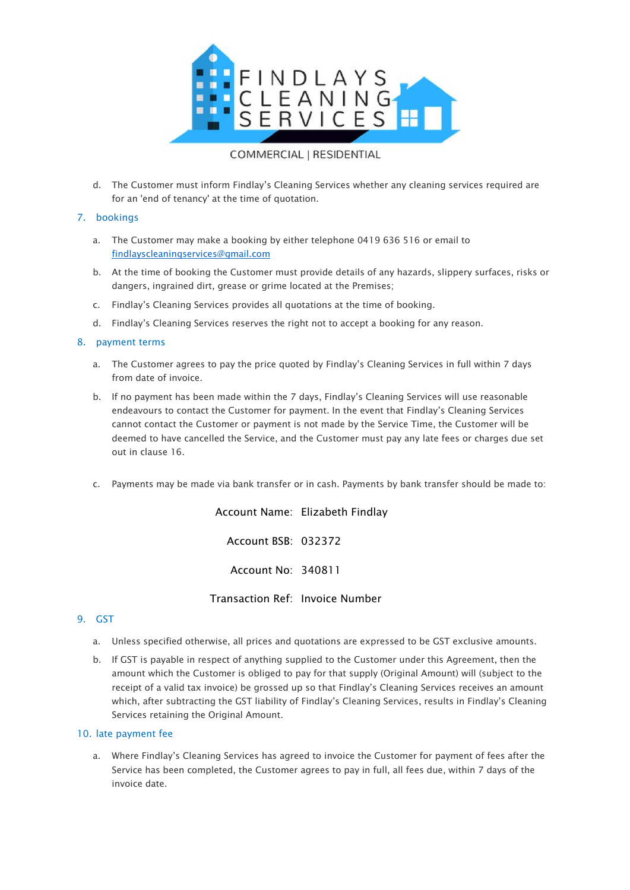

d. The Customer must inform Findlay's Cleaning Services whether any cleaning services required are for an 'end of tenancy' at the time of quotation.

## 7. bookings

- a. The Customer may make a booking by either telephone 0419 636 516 or email to [findlayscleaningservices@gmail.com](mailto:findlayscleaningservices@gmail.com)
- b. At the time of booking the Customer must provide details of any hazards, slippery surfaces, risks or dangers, ingrained dirt, grease or grime located at the Premises;
- c. Findlay's Cleaning Services provides all quotations at the time of booking.
- d. Findlay's Cleaning Services reserves the right not to accept a booking for any reason.

## 8. payment terms

- a. The Customer agrees to pay the price quoted by Findlay's Cleaning Services in full within 7 days from date of invoice.
- b. If no payment has been made within the 7 days, Findlay's Cleaning Services will use reasonable endeavours to contact the Customer for payment. In the event that Findlay's Cleaning Services cannot contact the Customer or payment is not made by the Service Time, the Customer will be deemed to have cancelled the Service, and the Customer must pay any late fees or charges due set out in clause 16.
- c. Payments may be made via bank transfer or in cash. Payments by bank transfer should be made to:

Account Name: Elizabeth Findlay Account BSB: 032372

Account No: 340811

Transaction Ref: Invoice Number

## 9. GST

- a. Unless specified otherwise, all prices and quotations are expressed to be GST exclusive amounts.
- b. If GST is payable in respect of anything supplied to the Customer under this Agreement, then the amount which the Customer is obliged to pay for that supply (Original Amount) will (subject to the receipt of a valid tax invoice) be grossed up so that Findlay's Cleaning Services receives an amount which, after subtracting the GST liability of Findlay's Cleaning Services, results in Findlay's Cleaning Services retaining the Original Amount.

## 10. late payment fee

a. Where Findlay's Cleaning Services has agreed to invoice the Customer for payment of fees after the Service has been completed, the Customer agrees to pay in full, all fees due, within 7 days of the invoice date.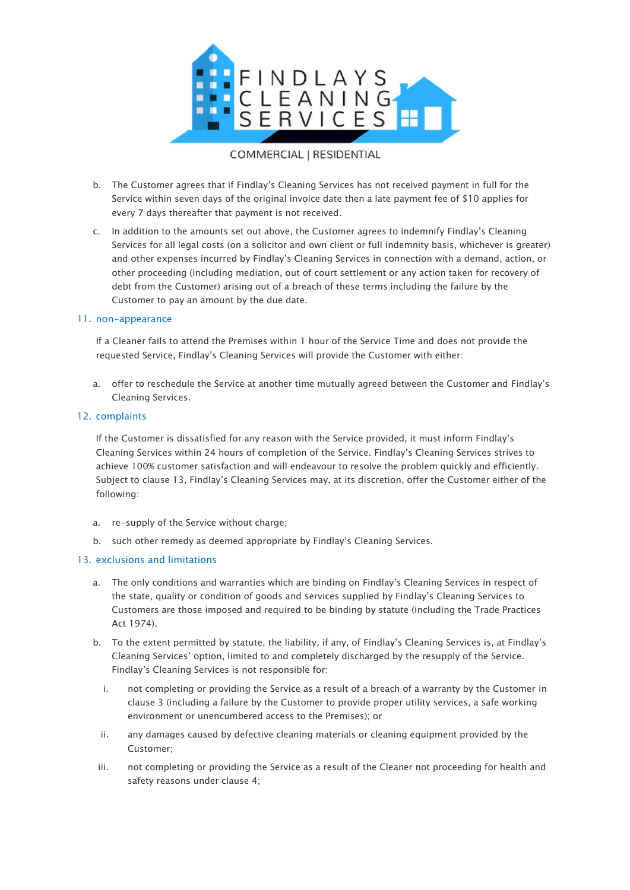

## b. The Customer agrees that if Findlay's Cleaning Services has not received payment in full for the Service within seven days of the original invoice date then a late payment fee of \$10 applies for every 7 days thereafter that payment is not received.

c. In addition to the amounts set out above, the Customer agrees to indemnify Findlay's Cleaning Services for all legal costs (on a solicitor and own client or full indemnity basis, whichever is greater) and other expenses incurred by Findlay's Cleaning Services in connection with a demand, action, or other proceeding (including mediation, out of court settlement or any action taken for recovery of debt from the Customer) arising out of a breach of these terms including the failure by the Customer to pay an amount by the due date.

## 11. non-appearance

If a Cleaner fails to attend the Premises within 1 hour of the Service Time and does not provide the requested Service, Findlay's Cleaning Services will provide the Customer with either:

a. offer to reschedule the Service at another time mutually agreed between the Customer and Findlay's Cleaning Services.

## 12. complaints

If the Customer is dissatisfied for any reason with the Service provided, it must inform Findlay's Cleaning Services within 24 hours of completion of the Service. Findlay's Cleaning Services strives to achieve 100% customer satisfaction and will endeavour to resolve the problem quickly and efficiently. Subject to clause 13, Findlay's Cleaning Services may, at its discretion, offer the Customer either of the following:

- a. re-supply of the Service without charge;
- b. such other remedy as deemed appropriate by Findlay's Cleaning Services.

## 13. exclusions and limitations

- a. The only conditions and warranties which are binding on Findlay's Cleaning Services in respect of the state, quality or condition of goods and services supplied by Findlay's Cleaning Services to Customers are those imposed and required to be binding by statute (including the Trade Practices Act 1974).
- b. To the extent permitted by statute, the liability, if any, of Findlay's Cleaning Services is, at Findlay's Cleaning Services' option, limited to and completely discharged by the resupply of the Service. Findlay's Cleaning Services is not responsible for:
	- i. not completing or providing the Service as a result of a breach of a warranty by the Customer in clause 3 (including a failure by the Customer to provide proper utility services, a safe working environment or unencumbered access to the Premises); or
	- ii. any damages caused by defective cleaning materials or cleaning equipment provided by the Customer;
- iii. not completing or providing the Service as a result of the Cleaner not proceeding for health and safety reasons under clause 4;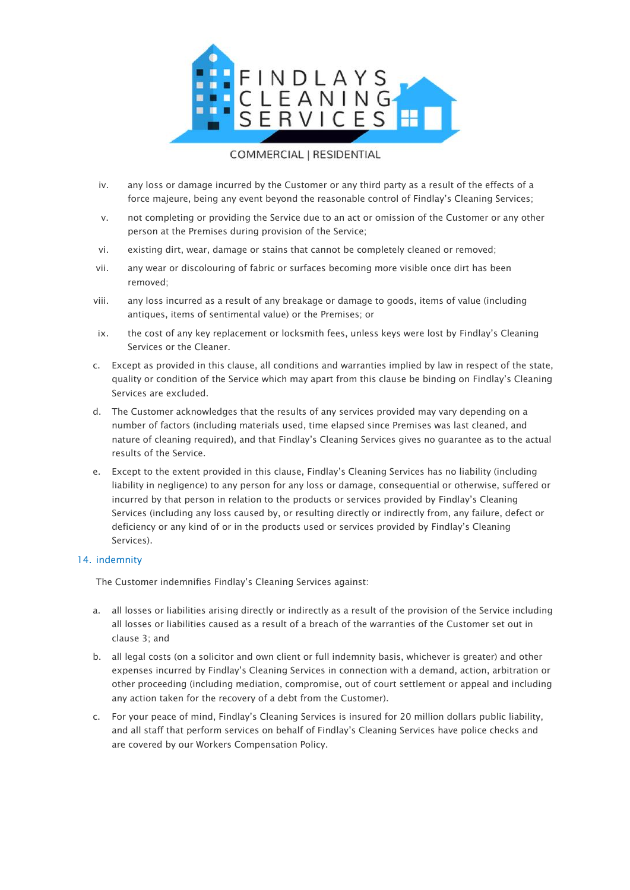

- iv. any loss or damage incurred by the Customer or any third party as a result of the effects of a force majeure, being any event beyond the reasonable control of Findlay's Cleaning Services;
- v. not completing or providing the Service due to an act or omission of the Customer or any other person at the Premises during provision of the Service;
- vi. existing dirt, wear, damage or stains that cannot be completely cleaned or removed;
- vii. any wear or discolouring of fabric or surfaces becoming more visible once dirt has been removed;
- viii. any loss incurred as a result of any breakage or damage to goods, items of value (including antiques, items of sentimental value) or the Premises; or
- ix. the cost of any key replacement or locksmith fees, unless keys were lost by Findlay's Cleaning Services or the Cleaner.
- c. Except as provided in this clause, all conditions and warranties implied by law in respect of the state, quality or condition of the Service which may apart from this clause be binding on Findlay's Cleaning Services are excluded.
- d. The Customer acknowledges that the results of any services provided may vary depending on a number of factors (including materials used, time elapsed since Premises was last cleaned, and nature of cleaning required), and that Findlay's Cleaning Services gives no guarantee as to the actual results of the Service.
- e. Except to the extent provided in this clause, Findlay's Cleaning Services has no liability (including liability in negligence) to any person for any loss or damage, consequential or otherwise, suffered or incurred by that person in relation to the products or services provided by Findlay's Cleaning Services (including any loss caused by, or resulting directly or indirectly from, any failure, defect or deficiency or any kind of or in the products used or services provided by Findlay's Cleaning Services).

## 14. indemnity

The Customer indemnifies Findlay's Cleaning Services against:

- a. all losses or liabilities arising directly or indirectly as a result of the provision of the Service including all losses or liabilities caused as a result of a breach of the warranties of the Customer set out in clause 3; and
- b. all legal costs (on a solicitor and own client or full indemnity basis, whichever is greater) and other expenses incurred by Findlay's Cleaning Services in connection with a demand, action, arbitration or other proceeding (including mediation, compromise, out of court settlement or appeal and including any action taken for the recovery of a debt from the Customer).
- c. For your peace of mind, Findlay's Cleaning Services is insured for 20 million dollars public liability, and all staff that perform services on behalf of Findlay's Cleaning Services have police checks and are covered by our Workers Compensation Policy.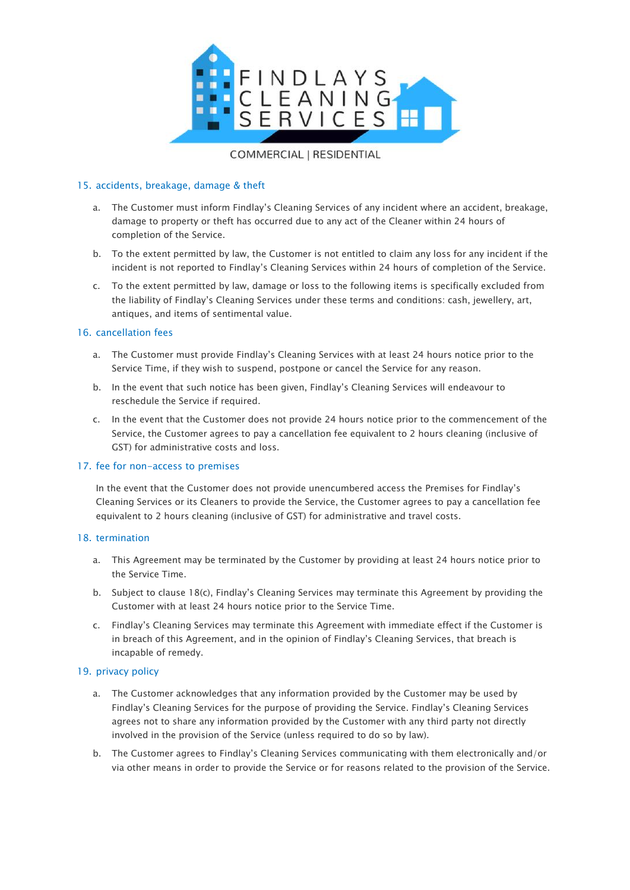

## 15. accidents, breakage, damage & theft

- a. The Customer must inform Findlay's Cleaning Services of any incident where an accident, breakage, damage to property or theft has occurred due to any act of the Cleaner within 24 hours of completion of the Service.
- b. To the extent permitted by law, the Customer is not entitled to claim any loss for any incident if the incident is not reported to Findlay's Cleaning Services within 24 hours of completion of the Service.
- c. To the extent permitted by law, damage or loss to the following items is specifically excluded from the liability of Findlay's Cleaning Services under these terms and conditions: cash, jewellery, art, antiques, and items of sentimental value.

## 16. cancellation fees

- a. The Customer must provide Findlay's Cleaning Services with at least 24 hours notice prior to the Service Time, if they wish to suspend, postpone or cancel the Service for any reason.
- b. In the event that such notice has been given, Findlay's Cleaning Services will endeavour to reschedule the Service if required.
- c. In the event that the Customer does not provide 24 hours notice prior to the commencement of the Service, the Customer agrees to pay a cancellation fee equivalent to 2 hours cleaning (inclusive of GST) for administrative costs and loss.

## 17. fee for non-access to premises

In the event that the Customer does not provide unencumbered access the Premises for Findlay's Cleaning Services or its Cleaners to provide the Service, the Customer agrees to pay a cancellation fee equivalent to 2 hours cleaning (inclusive of GST) for administrative and travel costs.

## 18. termination

- a. This Agreement may be terminated by the Customer by providing at least 24 hours notice prior to the Service Time.
- b. Subject to clause 18(c), Findlay's Cleaning Services may terminate this Agreement by providing the Customer with at least 24 hours notice prior to the Service Time.
- c. Findlay's Cleaning Services may terminate this Agreement with immediate effect if the Customer is in breach of this Agreement, and in the opinion of Findlay's Cleaning Services, that breach is incapable of remedy.

## 19. privacy policy

- a. The Customer acknowledges that any information provided by the Customer may be used by Findlay's Cleaning Services for the purpose of providing the Service. Findlay's Cleaning Services agrees not to share any information provided by the Customer with any third party not directly involved in the provision of the Service (unless required to do so by law).
- b. The Customer agrees to Findlay's Cleaning Services communicating with them electronically and/or via other means in order to provide the Service or for reasons related to the provision of the Service.